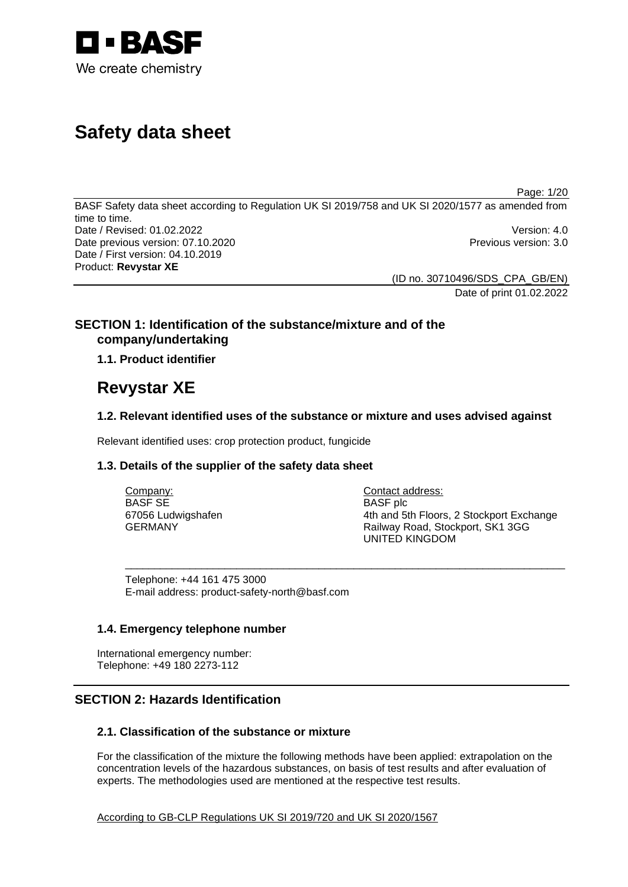

# **Safety data sheet**

Page: 1/20

BASF Safety data sheet according to Regulation UK SI 2019/758 and UK SI 2020/1577 as amended from time to time. Date / Revised: 01.02.2022 Version: 4.0 Date previous version: 07.10.2020 **Previous version: 3.0** Previous version: 3.0 Date / First version: 04.10.2019 Product: **Revystar XE** 

> (ID no. 30710496/SDS\_CPA\_GB/EN) Date of print 01.02.2022

# **SECTION 1: Identification of the substance/mixture and of the company/undertaking**

# **1.1. Product identifier**

# **Revystar XE**

# **1.2. Relevant identified uses of the substance or mixture and uses advised against**

\_\_\_\_\_\_\_\_\_\_\_\_\_\_\_\_\_\_\_\_\_\_\_\_\_\_\_\_\_\_\_\_\_\_\_\_\_\_\_\_\_\_\_\_\_\_\_\_\_\_\_\_\_\_\_\_\_\_\_\_\_\_\_\_\_\_\_\_\_\_\_\_\_\_\_

Relevant identified uses: crop protection product, fungicide

# **1.3. Details of the supplier of the safety data sheet**

Company: BASF SE 67056 Ludwigshafen GERMANY

Contact address: BASF plc 4th and 5th Floors, 2 Stockport Exchange Railway Road, Stockport, SK1 3GG UNITED KINGDOM

Telephone: +44 161 475 3000 E-mail address: product-safety-north@basf.com

# **1.4. Emergency telephone number**

International emergency number: Telephone: +49 180 2273-112

# **SECTION 2: Hazards Identification**

# **2.1. Classification of the substance or mixture**

For the classification of the mixture the following methods have been applied: extrapolation on the concentration levels of the hazardous substances, on basis of test results and after evaluation of experts. The methodologies used are mentioned at the respective test results.

According to GB-CLP Regulations UK SI 2019/720 and UK SI 2020/1567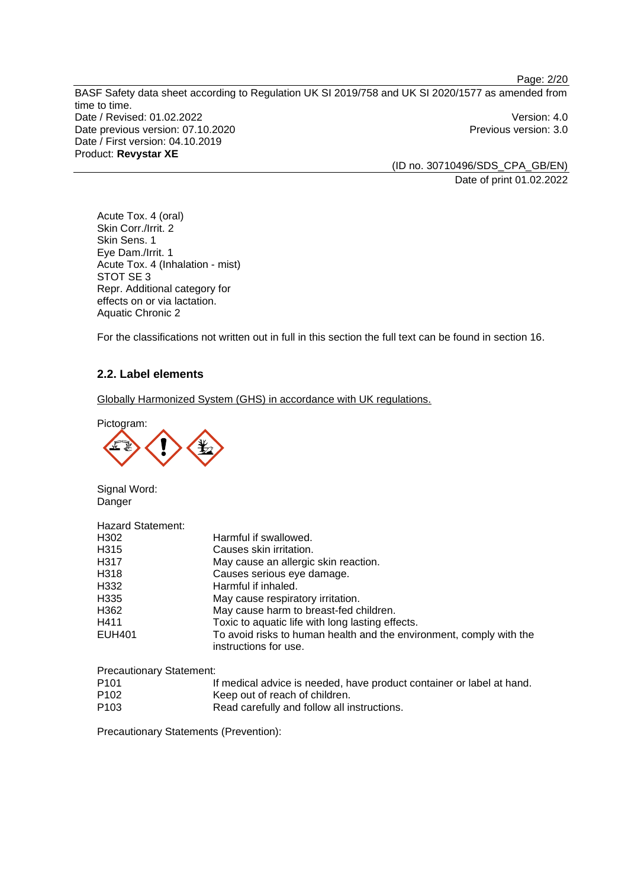BASF Safety data sheet according to Regulation UK SI 2019/758 and UK SI 2020/1577 as amended from time to time. Date / Revised: 01.02.2022 Version: 4.0 Date previous version: 07.10.2020 **Previous version: 3.0** Previous version: 3.0 Date / First version: 04.10.2019 Product: **Revystar XE** 

(ID no. 30710496/SDS\_CPA\_GB/EN) Date of print 01.02.2022

Page: 2/20

Acute Tox. 4 (oral) Skin Corr./Irrit. 2 Skin Sens. 1 Eye Dam./Irrit. 1 Acute Tox. 4 (Inhalation - mist) STOT SE 3 Repr. Additional category for effects on or via lactation. Aquatic Chronic 2

For the classifications not written out in full in this section the full text can be found in section 16.

# **2.2. Label elements**

Globally Harmonized System (GHS) in accordance with UK regulations.

Pictogram:



Signal Word: Danger

| <b>Hazard Statement:</b> |                                                                                              |
|--------------------------|----------------------------------------------------------------------------------------------|
| H302                     | Harmful if swallowed.                                                                        |
| H <sub>315</sub>         | Causes skin irritation.                                                                      |
| H317                     | May cause an allergic skin reaction.                                                         |
| H318                     | Causes serious eye damage.                                                                   |
| H332                     | Harmful if inhaled.                                                                          |
| H <sub>335</sub>         | May cause respiratory irritation.                                                            |
| H362                     | May cause harm to breast-fed children.                                                       |
| H411                     | Toxic to aquatic life with long lasting effects.                                             |
| EUH401                   | To avoid risks to human health and the environment, comply with the<br>instructions for use. |
|                          |                                                                                              |

Precautionary Statement:

- P101 If medical advice is needed, have product container or label at hand. P102 Keep out of reach of children.
- P103 Read carefully and follow all instructions.

Precautionary Statements (Prevention):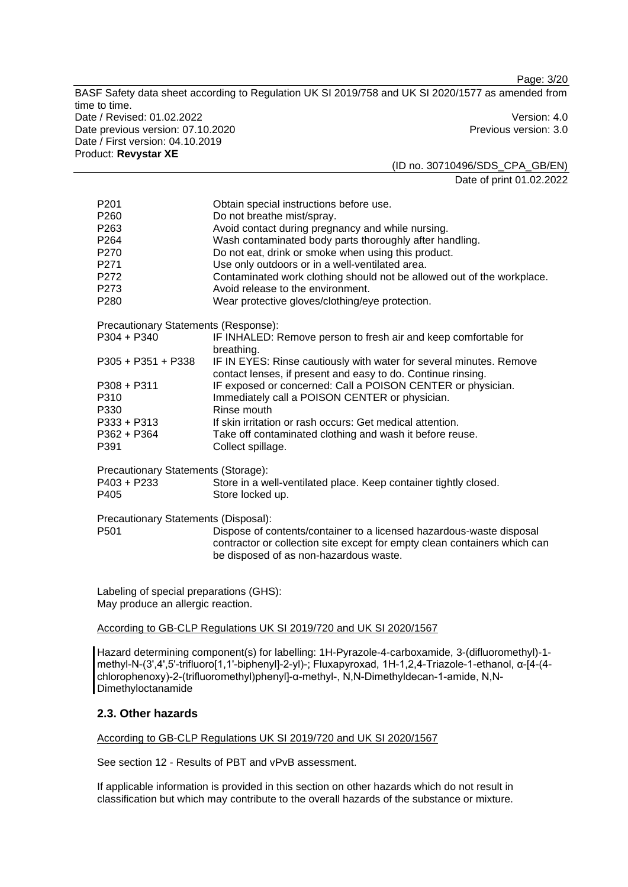Page: 3/20

BASF Safety data sheet according to Regulation UK SI 2019/758 and UK SI 2020/1577 as amended from time to time. Date / Revised: 01.02.2022 Version: 4.0 Date previous version: 07.10.2020 **Previous version: 3.0** Previous version: 3.0 Date / First version: 04.10.2019 Product: **Revystar XE** 

(ID no. 30710496/SDS\_CPA\_GB/EN) Date of print 01.02.2022

| P <sub>201</sub><br>P <sub>260</sub><br>P <sub>263</sub><br>P <sub>264</sub><br>P270<br>P271<br>P272<br>P273<br>P <sub>280</sub> | Obtain special instructions before use.<br>Do not breathe mist/spray.<br>Avoid contact during pregnancy and while nursing.<br>Wash contaminated body parts thoroughly after handling.<br>Do not eat, drink or smoke when using this product.<br>Use only outdoors or in a well-ventilated area.<br>Contaminated work clothing should not be allowed out of the workplace.<br>Avoid release to the environment.<br>Wear protective gloves/clothing/eye protection. |
|----------------------------------------------------------------------------------------------------------------------------------|-------------------------------------------------------------------------------------------------------------------------------------------------------------------------------------------------------------------------------------------------------------------------------------------------------------------------------------------------------------------------------------------------------------------------------------------------------------------|
| Precautionary Statements (Response):                                                                                             |                                                                                                                                                                                                                                                                                                                                                                                                                                                                   |
| $P304 + P340$                                                                                                                    | IF INHALED: Remove person to fresh air and keep comfortable for<br>breathing.                                                                                                                                                                                                                                                                                                                                                                                     |
| $P305 + P351 + P338$                                                                                                             | IF IN EYES: Rinse cautiously with water for several minutes. Remove<br>contact lenses, if present and easy to do. Continue rinsing.                                                                                                                                                                                                                                                                                                                               |
| $P308 + P311$<br>P310<br>P330                                                                                                    | IF exposed or concerned: Call a POISON CENTER or physician.<br>Immediately call a POISON CENTER or physician.<br>Rinse mouth                                                                                                                                                                                                                                                                                                                                      |
| $P333 + P313$<br>P362 + P364<br>P391                                                                                             | If skin irritation or rash occurs: Get medical attention.<br>Take off contaminated clothing and wash it before reuse.<br>Collect spillage.                                                                                                                                                                                                                                                                                                                        |
| Precautionary Statements (Storage):                                                                                              |                                                                                                                                                                                                                                                                                                                                                                                                                                                                   |
| P403 + P233<br>P405                                                                                                              | Store in a well-ventilated place. Keep container tightly closed.<br>Store locked up.                                                                                                                                                                                                                                                                                                                                                                              |
| Precautionary Statements (Disposal):<br>P <sub>501</sub>                                                                         | Dispose of contents/container to a licensed hazardous-waste disposal<br>contractor or collection site except for empty clean containers which can<br>be disposed of as non-hazardous waste.                                                                                                                                                                                                                                                                       |
|                                                                                                                                  |                                                                                                                                                                                                                                                                                                                                                                                                                                                                   |

Labeling of special preparations (GHS): May produce an allergic reaction.

According to GB-CLP Regulations UK SI 2019/720 and UK SI 2020/1567

Hazard determining component(s) for labelling: 1H-Pyrazole-4-carboxamide, 3-(difluoromethyl)-1 methyl-N-(3',4',5'-trifluoro[1,1'-biphenyl]-2-yl)-; Fluxapyroxad, 1H-1,2,4-Triazole-1-ethanol, α-[4-(4 chlorophenoxy)-2-(trifluoromethyl)phenyl]-α-methyl-, N,N-Dimethyldecan-1-amide, N,N-**Dimethyloctanamide** 

# **2.3. Other hazards**

According to GB-CLP Regulations UK SI 2019/720 and UK SI 2020/1567

See section 12 - Results of PBT and vPvB assessment.

If applicable information is provided in this section on other hazards which do not result in classification but which may contribute to the overall hazards of the substance or mixture.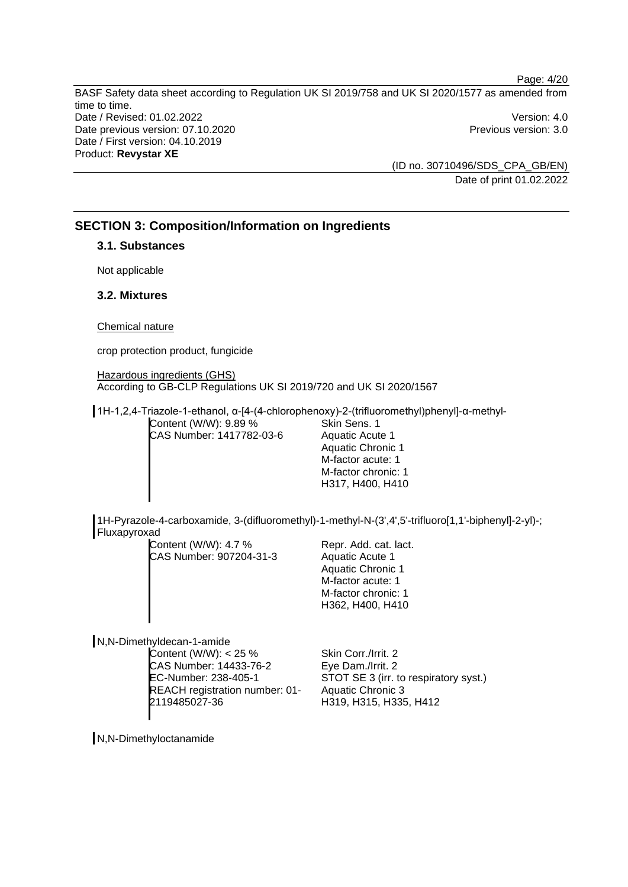Page: 4/20 BASF Safety data sheet according to Regulation UK SI 2019/758 and UK SI 2020/1577 as amended from time to time. Date / Revised: 01.02.2022 Version: 4.0 Date previous version: 07.10.2020 **Previous version: 3.0** Previous version: 3.0 Date / First version: 04.10.2019 Product: **Revystar XE** 

> (ID no. 30710496/SDS\_CPA\_GB/EN) Date of print 01.02.2022

# **SECTION 3: Composition/Information on Ingredients**

# **3.1. Substances**

Not applicable

# **3.2. Mixtures**

### Chemical nature

crop protection product, fungicide

Hazardous ingredients (GHS) According to GB-CLP Regulations UK SI 2019/720 and UK SI 2020/1567

1H-1,2,4-Triazole-1-ethanol, α-[4-(4-chlorophenoxy)-2-(trifluoromethyl)phenyl]-α-methyl-

Content (W/W): 9.89 % CAS Number: 1417782-03-6 Skin Sens. 1 Aquatic Acute 1 Aquatic Chronic 1 M-factor acute: 1 M-factor chronic: 1 H317, H400, H410

1H-Pyrazole-4-carboxamide, 3-(difluoromethyl)-1-methyl-N-(3',4',5'-trifluoro[1,1'-biphenyl]-2-yl)-; Fluxapyroxad

Content (W/W): 4.7 % CAS Number: 907204-31-3

Repr. Add. cat. lact. Aquatic Acute 1 Aquatic Chronic 1 M-factor acute: 1 M-factor chronic: 1 H362, H400, H410

N,N-Dimethyldecan-1-amide

Content (W/W):  $<$  25 % CAS Number: 14433-76-2 EC-Number: 238-405-1 REACH registration number: 01- 2119485027-36

Skin Corr./Irrit. 2 Eye Dam./Irrit. 2 STOT SE 3 (irr. to respiratory syst.) Aquatic Chronic 3 H319, H315, H335, H412

N,N-Dimethyloctanamide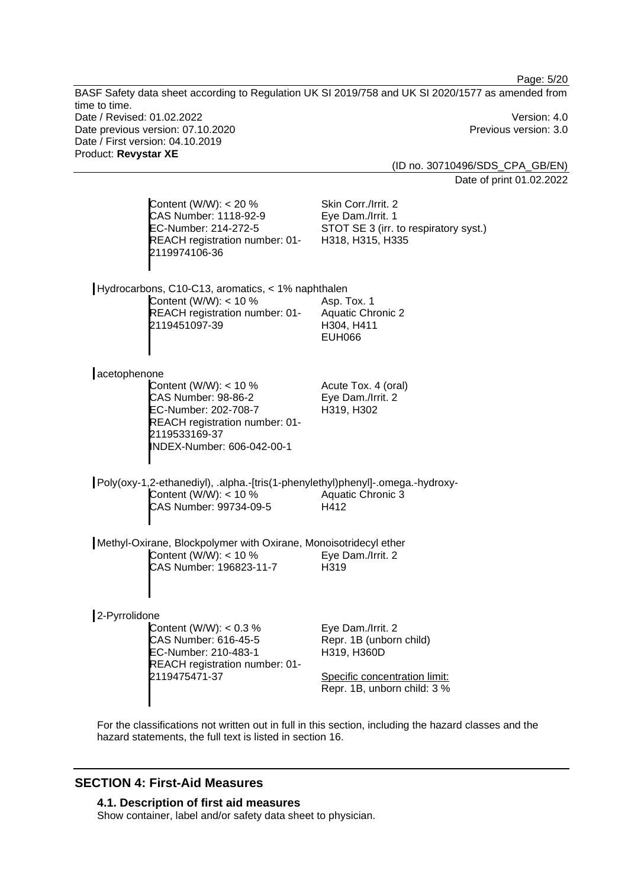Page: 5/20

BASF Safety data sheet according to Regulation UK SI 2019/758 and UK SI 2020/1577 as amended from time to time. Date / Revised: 01.02.2022 Version: 4.0 Date previous version: 07.10.2020 **Previous version: 3.0** Previous version: 3.0 Date / First version: 04.10.2019 Product: **Revystar XE**  (ID no. 30710496/SDS\_CPA\_GB/EN) Date of print 01.02.2022 Content (W/W): < 20 % Skin Corr./Irrit. 2

| CAS Number: 1118-92-9<br>EC-Number: 214-272-5<br>2119974106-36                                                         | REACH registration number: 01-                               | Eye Dam./Irrit. 1<br>STOT SE 3 (irr. to respiratory syst.)<br>H318, H315, H335                              |
|------------------------------------------------------------------------------------------------------------------------|--------------------------------------------------------------|-------------------------------------------------------------------------------------------------------------|
| Hydrocarbons, C10-C13, aromatics, < 1% naphthalen<br>Content (W/W): $<$ 10 %<br>2119451097-39                          | REACH registration number: 01-                               | Asp. Tox. 1<br><b>Aquatic Chronic 2</b><br>H304, H411<br><b>EUH066</b>                                      |
| acetophenone                                                                                                           |                                                              |                                                                                                             |
| Content (W/W): $<$ 10 %<br><b>CAS Number: 98-86-2</b><br>EC-Number: 202-708-7<br>2119533169-37                         | REACH registration number: 01-<br>INDEX-Number: 606-042-00-1 | Acute Tox. 4 (oral)<br>Eye Dam./Irrit. 2<br>H319, H302                                                      |
| Content (W/W): $<$ 10 %<br>CAS Number: 99734-09-5                                                                      |                                                              | Poly(oxy-1,2-ethanediyl), .alpha.-[tris(1-phenylethyl)phenyl]-.omega.-hydroxy-<br>Aquatic Chronic 3<br>H412 |
| Methyl-Oxirane, Blockpolymer with Oxirane, Monoisotridecyl ether<br>Content (W/W): $<$ 10 %<br>CAS Number: 196823-11-7 |                                                              | Eye Dam./Irrit. 2<br>H319                                                                                   |
| 2-Pyrrolidone                                                                                                          |                                                              |                                                                                                             |
| Content (W/W): $< 0.3 %$<br>CAS Number: 616-45-5<br>EC-Number: 210-483-1<br>2119475471-37                              | REACH registration number: 01-                               | Eye Dam./Irrit. 2<br>Repr. 1B (unborn child)<br>H319, H360D<br>Specific concentration limit:                |

For the classifications not written out in full in this section, including the hazard classes and the hazard statements, the full text is listed in section 16.

Repr. 1B, unborn child: 3 %

# **SECTION 4: First-Aid Measures**

# **4.1. Description of first aid measures**

Show container, label and/or safety data sheet to physician.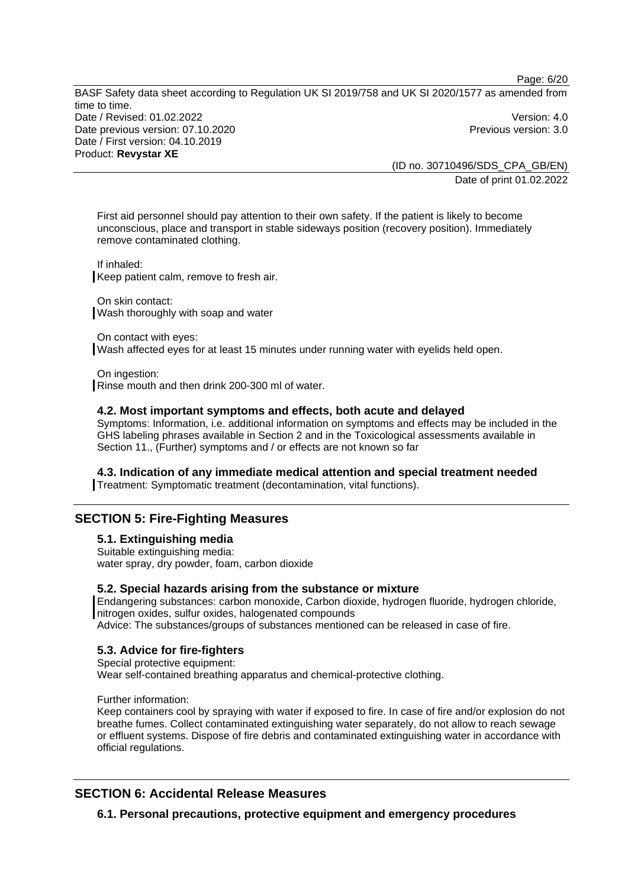Page: 6/20

BASF Safety data sheet according to Regulation UK SI 2019/758 and UK SI 2020/1577 as amended from time to time. Date / Revised: 01.02.2022 Version: 4.0 Date previous version: 07.10.2020 **Previous version: 3.0** Previous version: 3.0 Date / First version: 04.10.2019 Product: **Revystar XE** 

(ID no. 30710496/SDS\_CPA\_GB/EN) Date of print 01.02.2022

First aid personnel should pay attention to their own safety. If the patient is likely to become unconscious, place and transport in stable sideways position (recovery position). Immediately remove contaminated clothing.

If inhaled: Keep patient calm, remove to fresh air.

On skin contact: Wash thoroughly with soap and water

On contact with eyes: Wash affected eyes for at least 15 minutes under running water with eyelids held open.

On ingestion: Rinse mouth and then drink 200-300 ml of water.

### **4.2. Most important symptoms and effects, both acute and delayed**

Symptoms: Information, i.e. additional information on symptoms and effects may be included in the GHS labeling phrases available in Section 2 and in the Toxicological assessments available in Section 11., (Further) symptoms and / or effects are not known so far

### **4.3. Indication of any immediate medical attention and special treatment needed**

Treatment: Symptomatic treatment (decontamination, vital functions).

# **SECTION 5: Fire-Fighting Measures**

**5.1. Extinguishing media** 

Suitable extinguishing media: water spray, dry powder, foam, carbon dioxide

### **5.2. Special hazards arising from the substance or mixture**

Endangering substances: carbon monoxide, Carbon dioxide, hydrogen fluoride, hydrogen chloride, nitrogen oxides, sulfur oxides, halogenated compounds

Advice: The substances/groups of substances mentioned can be released in case of fire.

# **5.3. Advice for fire-fighters**

Special protective equipment: Wear self-contained breathing apparatus and chemical-protective clothing.

### Further information:

Keep containers cool by spraying with water if exposed to fire. In case of fire and/or explosion do not breathe fumes. Collect contaminated extinguishing water separately, do not allow to reach sewage or effluent systems. Dispose of fire debris and contaminated extinguishing water in accordance with official regulations.

# **SECTION 6: Accidental Release Measures**

**6.1. Personal precautions, protective equipment and emergency procedures**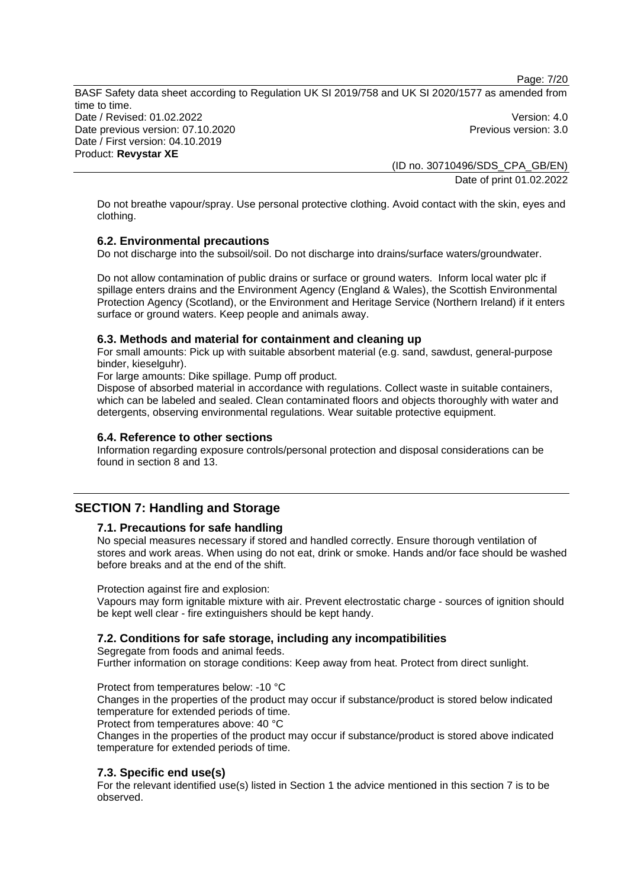Page: 7/20

BASF Safety data sheet according to Regulation UK SI 2019/758 and UK SI 2020/1577 as amended from time to time. Date / Revised: 01.02.2022 Version: 4.0 Date previous version: 07.10.2020 **Previous version: 3.0** Previous version: 3.0 Date / First version: 04.10.2019 Product: **Revystar XE** 

(ID no. 30710496/SDS\_CPA\_GB/EN) Date of print 01.02.2022

Do not breathe vapour/spray. Use personal protective clothing. Avoid contact with the skin, eyes and clothing.

### **6.2. Environmental precautions**

Do not discharge into the subsoil/soil. Do not discharge into drains/surface waters/groundwater.

Do not allow contamination of public drains or surface or ground waters. Inform local water plc if spillage enters drains and the Environment Agency (England & Wales), the Scottish Environmental Protection Agency (Scotland), or the Environment and Heritage Service (Northern Ireland) if it enters surface or ground waters. Keep people and animals away.

### **6.3. Methods and material for containment and cleaning up**

For small amounts: Pick up with suitable absorbent material (e.g. sand, sawdust, general-purpose binder, kieselguhr).

For large amounts: Dike spillage. Pump off product.

Dispose of absorbed material in accordance with regulations. Collect waste in suitable containers, which can be labeled and sealed. Clean contaminated floors and objects thoroughly with water and detergents, observing environmental regulations. Wear suitable protective equipment.

### **6.4. Reference to other sections**

Information regarding exposure controls/personal protection and disposal considerations can be found in section 8 and 13.

# **SECTION 7: Handling and Storage**

### **7.1. Precautions for safe handling**

No special measures necessary if stored and handled correctly. Ensure thorough ventilation of stores and work areas. When using do not eat, drink or smoke. Hands and/or face should be washed before breaks and at the end of the shift.

Protection against fire and explosion:

Vapours may form ignitable mixture with air. Prevent electrostatic charge - sources of ignition should be kept well clear - fire extinguishers should be kept handy.

# **7.2. Conditions for safe storage, including any incompatibilities**

Segregate from foods and animal feeds.

Further information on storage conditions: Keep away from heat. Protect from direct sunlight.

Protect from temperatures below: -10 °C

Changes in the properties of the product may occur if substance/product is stored below indicated temperature for extended periods of time.

Protect from temperatures above: 40 °C

Changes in the properties of the product may occur if substance/product is stored above indicated temperature for extended periods of time.

# **7.3. Specific end use(s)**

For the relevant identified use(s) listed in Section 1 the advice mentioned in this section 7 is to be observed.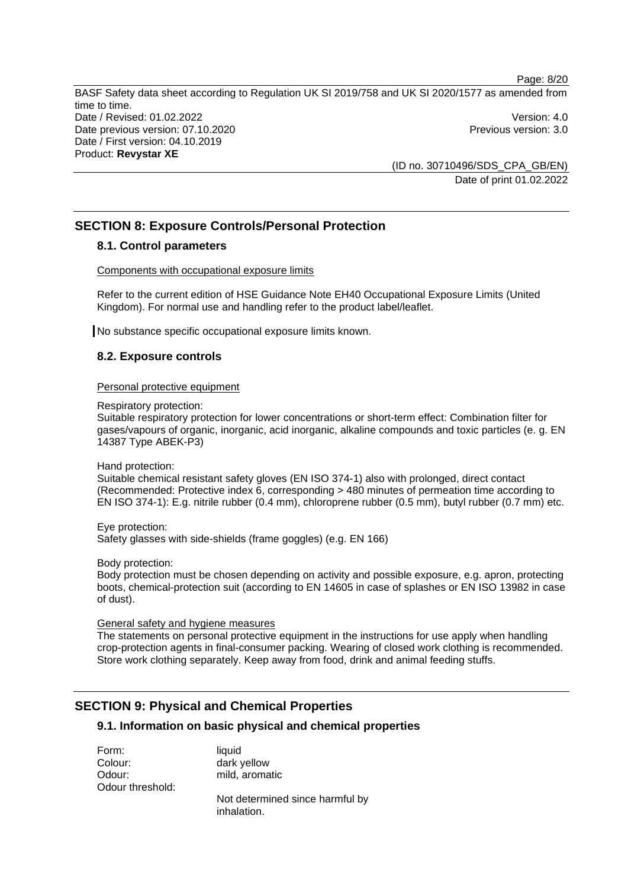BASF Safety data sheet according to Regulation UK SI 2019/758 and UK SI 2020/1577 as amended from time to time. Date / Revised: 01.02.2022 Version: 4.0 Date previous version: 07.10.2020 **Previous version: 3.0** Previous version: 3.0 Date / First version: 04.10.2019 Product: **Revystar XE** 

(ID no. 30710496/SDS\_CPA\_GB/EN) Date of print 01.02.2022

# **SECTION 8: Exposure Controls/Personal Protection**

# **8.1. Control parameters**

Components with occupational exposure limits

Refer to the current edition of HSE Guidance Note EH40 Occupational Exposure Limits (United Kingdom). For normal use and handling refer to the product label/leaflet.

No substance specific occupational exposure limits known.

# **8.2. Exposure controls**

### Personal protective equipment

Respiratory protection:

Suitable respiratory protection for lower concentrations or short-term effect: Combination filter for gases/vapours of organic, inorganic, acid inorganic, alkaline compounds and toxic particles (e. g. EN 14387 Type ABEK-P3)

Hand protection:

Suitable chemical resistant safety gloves (EN ISO 374-1) also with prolonged, direct contact (Recommended: Protective index 6, corresponding > 480 minutes of permeation time according to EN ISO 374-1): E.g. nitrile rubber (0.4 mm), chloroprene rubber (0.5 mm), butyl rubber (0.7 mm) etc.

Eye protection: Safety glasses with side-shields (frame goggles) (e.g. EN 166)

Body protection:

Body protection must be chosen depending on activity and possible exposure, e.g. apron, protecting boots, chemical-protection suit (according to EN 14605 in case of splashes or EN ISO 13982 in case of dust).

General safety and hygiene measures

The statements on personal protective equipment in the instructions for use apply when handling crop-protection agents in final-consumer packing. Wearing of closed work clothing is recommended. Store work clothing separately. Keep away from food, drink and animal feeding stuffs.

# **SECTION 9: Physical and Chemical Properties**

# **9.1. Information on basic physical and chemical properties**

Form: liquid Colour: dark yellow Odour: mild, aromatic Odour threshold:

Not determined since harmful by inhalation.

Page: 8/20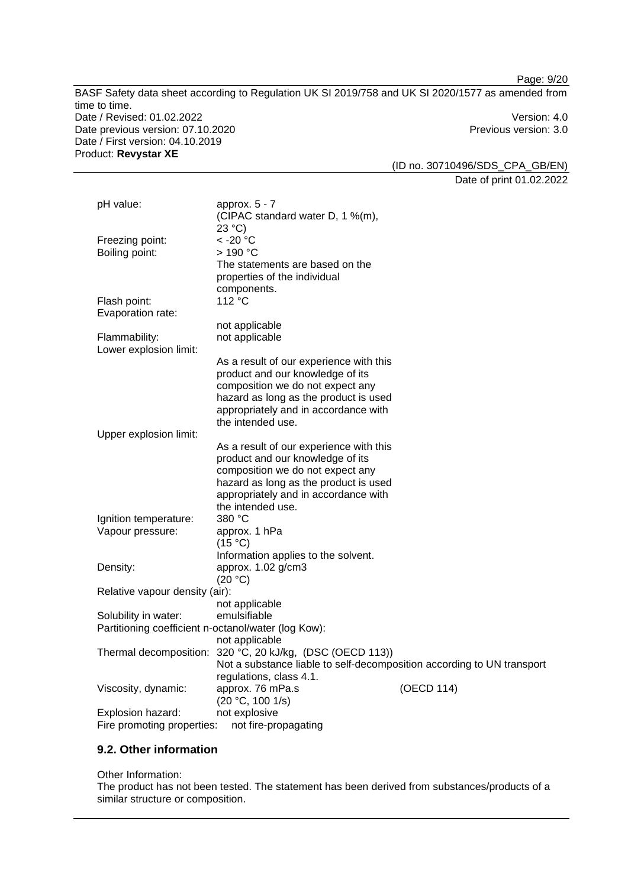BASF Safety data sheet according to Regulation UK SI 2019/758 and UK SI 2020/1577 as amended from time to time. Date / Revised: 01.02.2022 Version: 4.0 Date previous version: 07.10.2020 **Previous version: 3.0** Previous version: 3.0 Date / First version: 04.10.2019 Product: **Revystar XE** 

(ID no. 30710496/SDS\_CPA\_GB/EN) Date of print 01.02.2022

| pH value:                      | approx. $5 - 7$                                                        |
|--------------------------------|------------------------------------------------------------------------|
|                                | (CIPAC standard water D, 1 %(m),                                       |
|                                | 23 °C                                                                  |
| Freezing point:                | < -20 °C                                                               |
| Boiling point:                 | > 190 °C                                                               |
|                                | The statements are based on the                                        |
|                                | properties of the individual                                           |
|                                | components.<br>112 °C                                                  |
| Flash point:                   |                                                                        |
| Evaporation rate:              | not applicable                                                         |
| Flammability:                  | not applicable                                                         |
| Lower explosion limit:         |                                                                        |
|                                | As a result of our experience with this                                |
|                                | product and our knowledge of its                                       |
|                                | composition we do not expect any                                       |
|                                | hazard as long as the product is used                                  |
|                                | appropriately and in accordance with                                   |
|                                | the intended use.                                                      |
| Upper explosion limit:         |                                                                        |
|                                | As a result of our experience with this                                |
|                                | product and our knowledge of its                                       |
|                                | composition we do not expect any                                       |
|                                | hazard as long as the product is used                                  |
|                                | appropriately and in accordance with                                   |
|                                | the intended use.                                                      |
| Ignition temperature:          | 380 °C                                                                 |
| Vapour pressure:               | approx. 1 hPa                                                          |
|                                | (15 °C)<br>Information applies to the solvent.                         |
| Density:                       | approx. 1.02 g/cm3                                                     |
|                                | (20 °C)                                                                |
| Relative vapour density (air): |                                                                        |
|                                | not applicable                                                         |
| Solubility in water:           | emulsifiable                                                           |
|                                | Partitioning coefficient n-octanol/water (log Kow):                    |
|                                | not applicable                                                         |
|                                | Thermal decomposition: 320 °C, 20 kJ/kg, (DSC (OECD 113))              |
|                                | Not a substance liable to self-decomposition according to UN transport |
|                                | regulations, class 4.1.                                                |
| Viscosity, dynamic:            | approx. 76 mPa.s<br>(OECD 114)                                         |
|                                | (20 °C, 100 1/s)                                                       |
| Explosion hazard:              | not explosive                                                          |
| Fire promoting properties:     | not fire-propagating                                                   |

# **9.2. Other information**

Other Information:

The product has not been tested. The statement has been derived from substances/products of a similar structure or composition.

Page: 9/20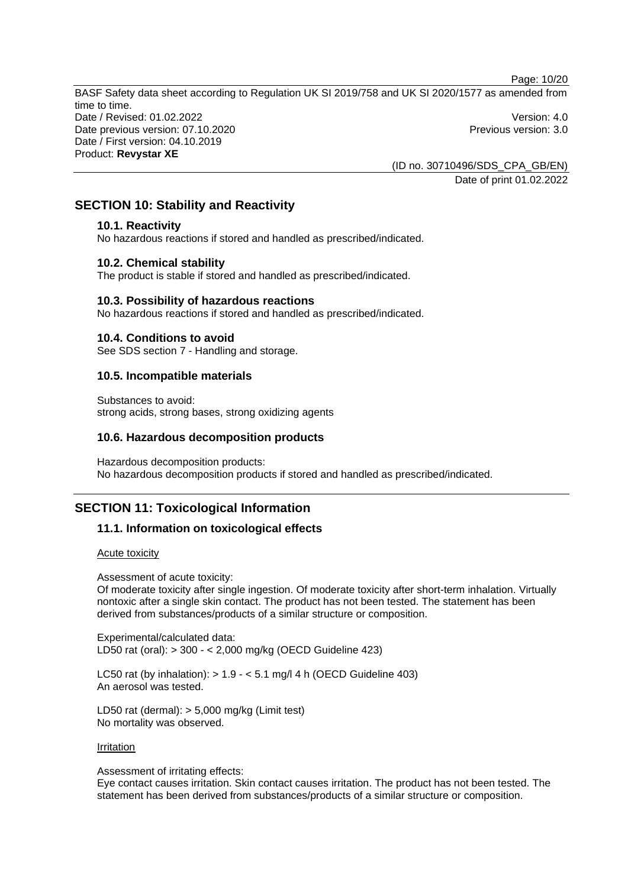Page: 10/20

BASF Safety data sheet according to Regulation UK SI 2019/758 and UK SI 2020/1577 as amended from time to time. Date / Revised: 01.02.2022 Version: 4.0 Date previous version: 07.10.2020 **Previous version: 3.0** Previous version: 3.0 Date / First version: 04.10.2019 Product: **Revystar XE** 

> (ID no. 30710496/SDS\_CPA\_GB/EN) Date of print 01.02.2022

# **SECTION 10: Stability and Reactivity**

### **10.1. Reactivity**

No hazardous reactions if stored and handled as prescribed/indicated.

### **10.2. Chemical stability**

The product is stable if stored and handled as prescribed/indicated.

#### **10.3. Possibility of hazardous reactions**

No hazardous reactions if stored and handled as prescribed/indicated.

#### **10.4. Conditions to avoid**

See SDS section 7 - Handling and storage.

### **10.5. Incompatible materials**

Substances to avoid: strong acids, strong bases, strong oxidizing agents

#### **10.6. Hazardous decomposition products**

Hazardous decomposition products: No hazardous decomposition products if stored and handled as prescribed/indicated.

# **SECTION 11: Toxicological Information**

### **11.1. Information on toxicological effects**

#### Acute toxicity

Assessment of acute toxicity:

Of moderate toxicity after single ingestion. Of moderate toxicity after short-term inhalation. Virtually nontoxic after a single skin contact. The product has not been tested. The statement has been derived from substances/products of a similar structure or composition.

Experimental/calculated data: LD50 rat (oral): > 300 - < 2,000 mg/kg (OECD Guideline 423)

LC50 rat (by inhalation):  $> 1.9 - 5.1$  mg/l 4 h (OECD Guideline 403) An aerosol was tested.

LD50 rat (dermal): > 5,000 mg/kg (Limit test) No mortality was observed.

#### Irritation

Assessment of irritating effects:

Eye contact causes irritation. Skin contact causes irritation. The product has not been tested. The statement has been derived from substances/products of a similar structure or composition.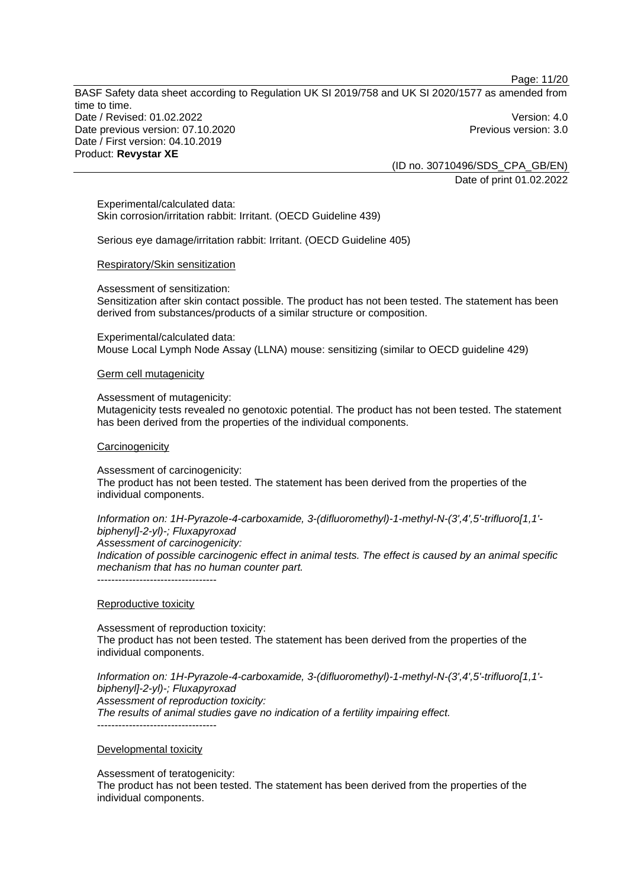BASF Safety data sheet according to Regulation UK SI 2019/758 and UK SI 2020/1577 as amended from time to time. Date / Revised: 01.02.2022 Version: 4.0 Date previous version: 07.10.2020 **Previous version: 3.0** Previous version: 3.0 Date / First version: 04.10.2019 Product: **Revystar XE** 

> (ID no. 30710496/SDS\_CPA\_GB/EN) Date of print 01.02.2022

Experimental/calculated data: Skin corrosion/irritation rabbit: Irritant. (OECD Guideline 439)

Serious eye damage/irritation rabbit: Irritant. (OECD Guideline 405)

#### Respiratory/Skin sensitization

Assessment of sensitization:

Sensitization after skin contact possible. The product has not been tested. The statement has been derived from substances/products of a similar structure or composition.

Experimental/calculated data: Mouse Local Lymph Node Assay (LLNA) mouse: sensitizing (similar to OECD guideline 429)

Germ cell mutagenicity

Assessment of mutagenicity:

Mutagenicity tests revealed no genotoxic potential. The product has not been tested. The statement has been derived from the properties of the individual components.

#### **Carcinogenicity**

Assessment of carcinogenicity: The product has not been tested. The statement has been derived from the properties of the individual components.

*Information on: 1H-Pyrazole-4-carboxamide, 3-(difluoromethyl)-1-methyl-N-(3',4',5'-trifluoro[1,1' biphenyl]-2-yl)-; Fluxapyroxad Assessment of carcinogenicity:* 

*Indication of possible carcinogenic effect in animal tests. The effect is caused by an animal specific mechanism that has no human counter part.*  -----------------------------------

Reproductive toxicity

Assessment of reproduction toxicity: The product has not been tested. The statement has been derived from the properties of the individual components.

*Information on: 1H-Pyrazole-4-carboxamide, 3-(difluoromethyl)-1-methyl-N-(3',4',5'-trifluoro[1,1' biphenyl]-2-yl)-; Fluxapyroxad Assessment of reproduction toxicity: The results of animal studies gave no indication of a fertility impairing effect.*  ----------------------------------

Developmental toxicity

Assessment of teratogenicity:

The product has not been tested. The statement has been derived from the properties of the individual components.

Page: 11/20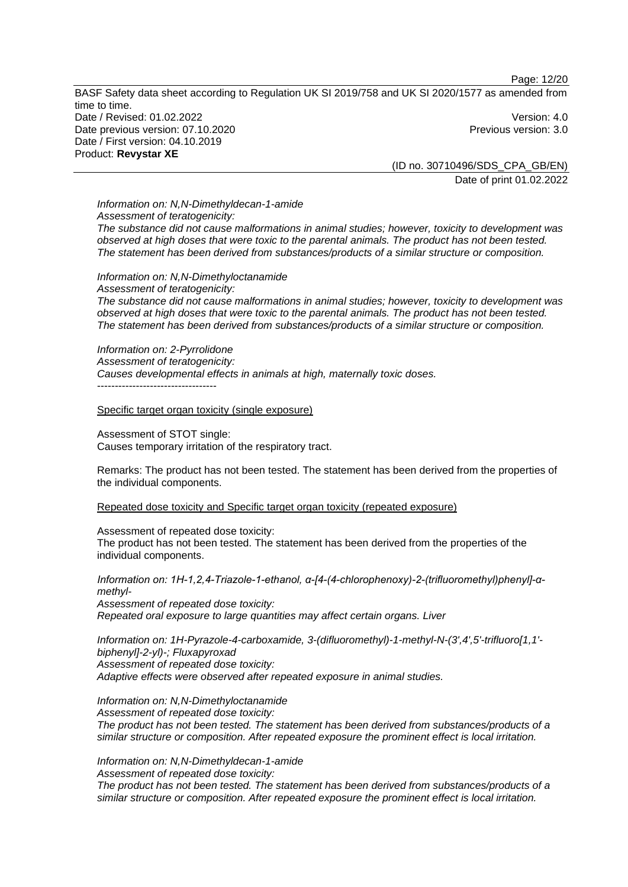Page: 12/20

BASF Safety data sheet according to Regulation UK SI 2019/758 and UK SI 2020/1577 as amended from time to time. Date / Revised: 01.02.2022 Version: 4.0 Date previous version: 07.10.2020 **Previous version: 3.0** Previous version: 3.0 Date / First version: 04.10.2019 Product: **Revystar XE** 

(ID no. 30710496/SDS\_CPA\_GB/EN) Date of print 01.02.2022

# *Information on: N,N-Dimethyldecan-1-amide Assessment of teratogenicity:*

*The substance did not cause malformations in animal studies; however, toxicity to development was observed at high doses that were toxic to the parental animals. The product has not been tested. The statement has been derived from substances/products of a similar structure or composition.* 

*Information on: N,N-Dimethyloctanamide Assessment of teratogenicity: The substance did not cause malformations in animal studies; however, toxicity to development was observed at high doses that were toxic to the parental animals. The product has not been tested. The statement has been derived from substances/products of a similar structure or composition.* 

*Information on: 2-Pyrrolidone Assessment of teratogenicity: Causes developmental effects in animals at high, maternally toxic doses.*  ----------------------------------

Specific target organ toxicity (single exposure)

Assessment of STOT single: Causes temporary irritation of the respiratory tract.

Remarks: The product has not been tested. The statement has been derived from the properties of the individual components.

Repeated dose toxicity and Specific target organ toxicity (repeated exposure)

Assessment of repeated dose toxicity:

The product has not been tested. The statement has been derived from the properties of the individual components.

*Information on: 1H-1,2,4-Triazole-1-ethanol, α-[4-(4-chlorophenoxy)-2-(trifluoromethyl)phenyl]-αmethyl-Assessment of repeated dose toxicity: Repeated oral exposure to large quantities may affect certain organs. Liver* 

*Information on: 1H-Pyrazole-4-carboxamide, 3-(difluoromethyl)-1-methyl-N-(3',4',5'-trifluoro[1,1' biphenyl]-2-yl)-; Fluxapyroxad Assessment of repeated dose toxicity: Adaptive effects were observed after repeated exposure in animal studies.* 

*Information on: N,N-Dimethyloctanamide Assessment of repeated dose toxicity: The product has not been tested. The statement has been derived from substances/products of a similar structure or composition. After repeated exposure the prominent effect is local irritation.* 

*Information on: N,N-Dimethyldecan-1-amide Assessment of repeated dose toxicity:* 

*The product has not been tested. The statement has been derived from substances/products of a similar structure or composition. After repeated exposure the prominent effect is local irritation.*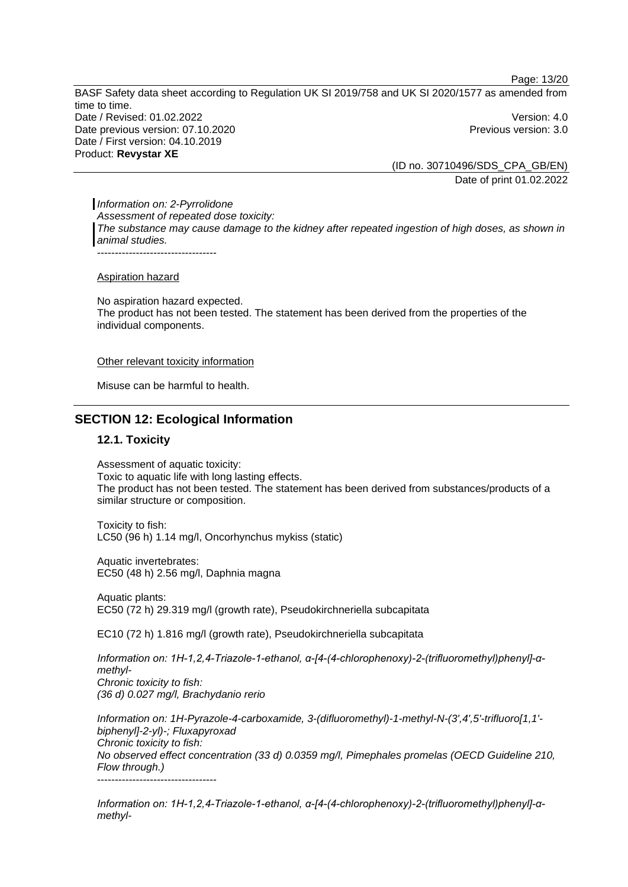Page: 13/20

BASF Safety data sheet according to Regulation UK SI 2019/758 and UK SI 2020/1577 as amended from time to time. Date / Revised: 01.02.2022 Version: 4.0 Date previous version: 07.10.2020 **Previous version: 3.0** Previous version: 3.0 Date / First version: 04.10.2019 Product: **Revystar XE** 

(ID no. 30710496/SDS\_CPA\_GB/EN) Date of print 01.02.2022

*Information on: 2-Pyrrolidone Assessment of repeated dose toxicity: The substance may cause damage to the kidney after repeated ingestion of high doses, as shown in animal studies.*  ----------------------------------

Aspiration hazard

No aspiration hazard expected. The product has not been tested. The statement has been derived from the properties of the individual components.

Other relevant toxicity information

Misuse can be harmful to health.

# **SECTION 12: Ecological Information**

#### **12.1. Toxicity**

Assessment of aquatic toxicity: Toxic to aquatic life with long lasting effects. The product has not been tested. The statement has been derived from substances/products of a similar structure or composition.

Toxicity to fish: LC50 (96 h) 1.14 mg/l, Oncorhynchus mykiss (static)

Aquatic invertebrates: EC50 (48 h) 2.56 mg/l, Daphnia magna

Aquatic plants: EC50 (72 h) 29.319 mg/l (growth rate), Pseudokirchneriella subcapitata

EC10 (72 h) 1.816 mg/l (growth rate), Pseudokirchneriella subcapitata

*Information on: 1H-1,2,4-Triazole-1-ethanol, α-[4-(4-chlorophenoxy)-2-(trifluoromethyl)phenyl]-αmethyl-Chronic toxicity to fish: (36 d) 0.027 mg/l, Brachydanio rerio* 

*Information on: 1H-Pyrazole-4-carboxamide, 3-(difluoromethyl)-1-methyl-N-(3',4',5'-trifluoro[1,1' biphenyl]-2-yl)-; Fluxapyroxad Chronic toxicity to fish: No observed effect concentration (33 d) 0.0359 mg/l, Pimephales promelas (OECD Guideline 210, Flow through.)*  ----------------------------------

*Information on: 1H-1,2,4-Triazole-1-ethanol, α-[4-(4-chlorophenoxy)-2-(trifluoromethyl)phenyl]-αmethyl-*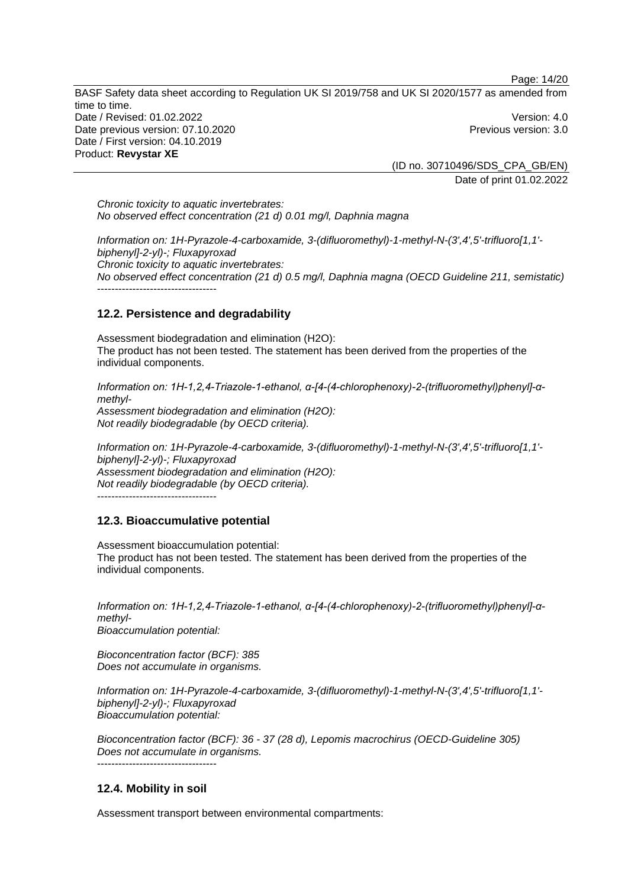Page: 14/20

BASF Safety data sheet according to Regulation UK SI 2019/758 and UK SI 2020/1577 as amended from time to time. Date / Revised: 01.02.2022 Version: 4.0 Date previous version: 07.10.2020 **Previous version: 3.0** Previous version: 3.0 Date / First version: 04.10.2019 Product: **Revystar XE** 

> (ID no. 30710496/SDS\_CPA\_GB/EN) Date of print 01.02.2022

*Chronic toxicity to aquatic invertebrates: No observed effect concentration (21 d) 0.01 mg/l, Daphnia magna* 

*Information on: 1H-Pyrazole-4-carboxamide, 3-(difluoromethyl)-1-methyl-N-(3',4',5'-trifluoro[1,1' biphenyl]-2-yl)-; Fluxapyroxad Chronic toxicity to aquatic invertebrates: No observed effect concentration (21 d) 0.5 mg/l, Daphnia magna (OECD Guideline 211, semistatic)*  -----------------------------------

# **12.2. Persistence and degradability**

Assessment biodegradation and elimination (H2O): The product has not been tested. The statement has been derived from the properties of the individual components.

*Information on: 1H-1,2,4-Triazole-1-ethanol, α-[4-(4-chlorophenoxy)-2-(trifluoromethyl)phenyl]-αmethyl-Assessment biodegradation and elimination (H2O): Not readily biodegradable (by OECD criteria).* 

*Information on: 1H-Pyrazole-4-carboxamide, 3-(difluoromethyl)-1-methyl-N-(3',4',5'-trifluoro[1,1' biphenyl]-2-yl)-; Fluxapyroxad Assessment biodegradation and elimination (H2O): Not readily biodegradable (by OECD criteria).*  ----------------------------------

# **12.3. Bioaccumulative potential**

Assessment bioaccumulation potential: The product has not been tested. The statement has been derived from the properties of the individual components.

*Information on: 1H-1,2,4-Triazole-1-ethanol, α-[4-(4-chlorophenoxy)-2-(trifluoromethyl)phenyl]-αmethyl-Bioaccumulation potential:* 

*Bioconcentration factor (BCF): 385 Does not accumulate in organisms.* 

*Information on: 1H-Pyrazole-4-carboxamide, 3-(difluoromethyl)-1-methyl-N-(3',4',5'-trifluoro[1,1' biphenyl]-2-yl)-; Fluxapyroxad Bioaccumulation potential:* 

*Bioconcentration factor (BCF): 36 - 37 (28 d), Lepomis macrochirus (OECD-Guideline 305) Does not accumulate in organisms.*  -----------------------------------

# **12.4. Mobility in soil**

Assessment transport between environmental compartments: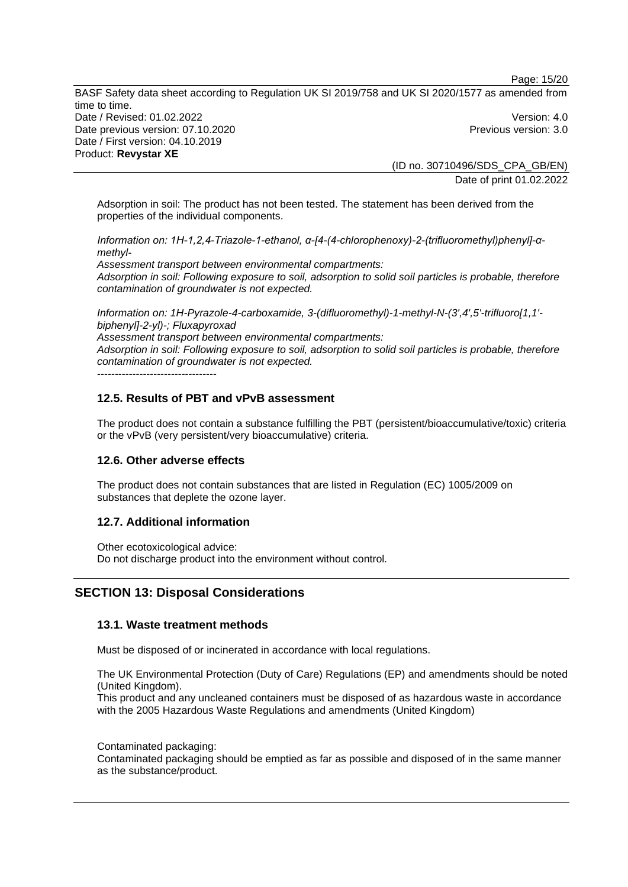Page: 15/20

BASF Safety data sheet according to Regulation UK SI 2019/758 and UK SI 2020/1577 as amended from time to time. Date / Revised: 01.02.2022 Version: 4.0 Date previous version: 07.10.2020 **Previous version: 3.0** Previous version: 3.0 Date / First version: 04.10.2019 Product: **Revystar XE** 

(ID no. 30710496/SDS\_CPA\_GB/EN) Date of print 01.02.2022

Adsorption in soil: The product has not been tested. The statement has been derived from the properties of the individual components.

*Information on: 1H-1,2,4-Triazole-1-ethanol, α-[4-(4-chlorophenoxy)-2-(trifluoromethyl)phenyl]-αmethyl-*

*Assessment transport between environmental compartments: Adsorption in soil: Following exposure to soil, adsorption to solid soil particles is probable, therefore contamination of groundwater is not expected.*

*Information on: 1H-Pyrazole-4-carboxamide, 3-(difluoromethyl)-1-methyl-N-(3',4',5'-trifluoro[1,1' biphenyl]-2-yl)-; Fluxapyroxad Assessment transport between environmental compartments: Adsorption in soil: Following exposure to soil, adsorption to solid soil particles is probable, therefore contamination of groundwater is not expected.*

----------------------------------

# **12.5. Results of PBT and vPvB assessment**

The product does not contain a substance fulfilling the PBT (persistent/bioaccumulative/toxic) criteria or the vPvB (very persistent/very bioaccumulative) criteria.

### **12.6. Other adverse effects**

The product does not contain substances that are listed in Regulation (EC) 1005/2009 on substances that deplete the ozone layer.

### **12.7. Additional information**

Other ecotoxicological advice: Do not discharge product into the environment without control.

# **SECTION 13: Disposal Considerations**

### **13.1. Waste treatment methods**

Must be disposed of or incinerated in accordance with local regulations.

The UK Environmental Protection (Duty of Care) Regulations (EP) and amendments should be noted (United Kingdom).

This product and any uncleaned containers must be disposed of as hazardous waste in accordance with the 2005 Hazardous Waste Regulations and amendments (United Kingdom)

Contaminated packaging:

Contaminated packaging should be emptied as far as possible and disposed of in the same manner as the substance/product.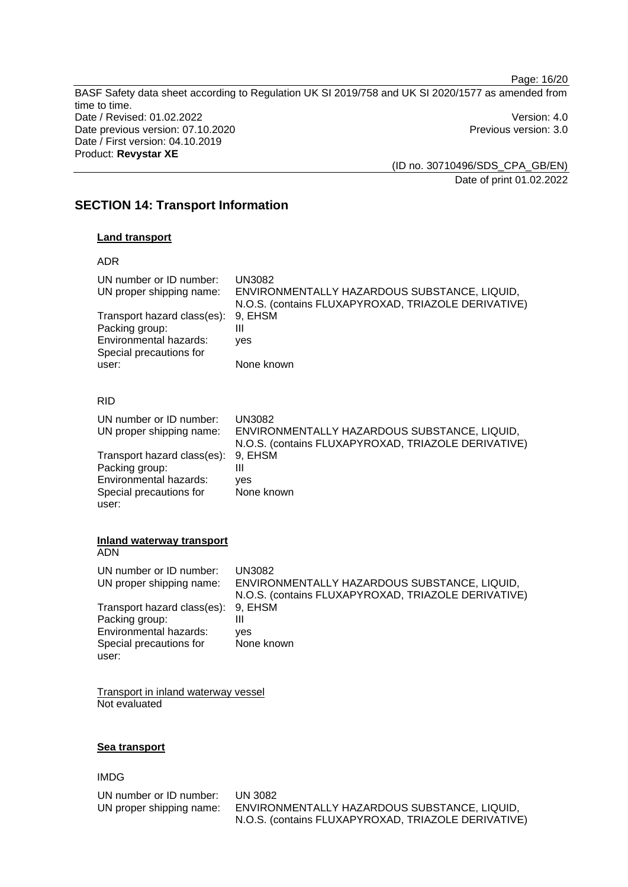Page: 16/20 BASF Safety data sheet according to Regulation UK SI 2019/758 and UK SI 2020/1577 as amended from time to time. Date / Revised: 01.02.2022 Version: 4.0 Date previous version: 07.10.2020 **Previous version: 3.0** Previous version: 3.0 Date / First version: 04.10.2019 Product: **Revystar XE** 

(ID no. 30710496/SDS\_CPA\_GB/EN) Date of print 01.02.2022

# **SECTION 14: Transport Information**

# **Land transport**

### ADR

| UN number or ID number:<br>UN proper shipping name:<br>Transport hazard class(es):<br>Packing group:<br>Environmental hazards:<br>Special precautions for<br>user: | UN3082<br>ENVIRONMENTALLY HAZARDOUS SUBSTANCE, LIQUID,<br>N.O.S. (contains FLUXAPYROXAD, TRIAZOLE DERIVATIVE)<br>9, EHSM<br>Ш<br>yes<br>None known |
|--------------------------------------------------------------------------------------------------------------------------------------------------------------------|----------------------------------------------------------------------------------------------------------------------------------------------------|
| <b>RID</b>                                                                                                                                                         |                                                                                                                                                    |
| UN number or ID number:<br>UN proper shipping name:                                                                                                                | <b>UN3082</b><br>ENVIRONMENTALLY HAZARDOUS SUBSTANCE, LIQUID,<br>N.O.S. (contains FLUXAPYROXAD, TRIAZOLE DERIVATIVE)                               |
| Transport hazard class(es):<br>Packing group:<br>Environmental hazards:<br>Special precautions for<br>user:                                                        | 9, EHSM<br>Ш<br>yes<br>None known                                                                                                                  |
|                                                                                                                                                                    |                                                                                                                                                    |

#### **Inland waterway transport**  ADN

| UN number or ID number:<br>UN proper shipping name:                                                         | UN3082<br>ENVIRONMENTALLY HAZARDOUS SUBSTANCE, LIQUID,<br>N.O.S. (contains FLUXAPYROXAD, TRIAZOLE DERIVATIVE) |
|-------------------------------------------------------------------------------------------------------------|---------------------------------------------------------------------------------------------------------------|
| Transport hazard class(es):<br>Packing group:<br>Environmental hazards:<br>Special precautions for<br>user: | 9, EHSM<br>Ш<br>ves<br>None known                                                                             |

Transport in inland waterway vessel Not evaluated

### **Sea transport**

# IMDG

| UN number or ID number:  |
|--------------------------|
| UN proper shipping name: |

**UN 3082** ENVIRONMENTALLY HAZARDOUS SUBSTANCE, LIQUID, N.O.S. (contains FLUXAPYROXAD, TRIAZOLE DERIVATIVE)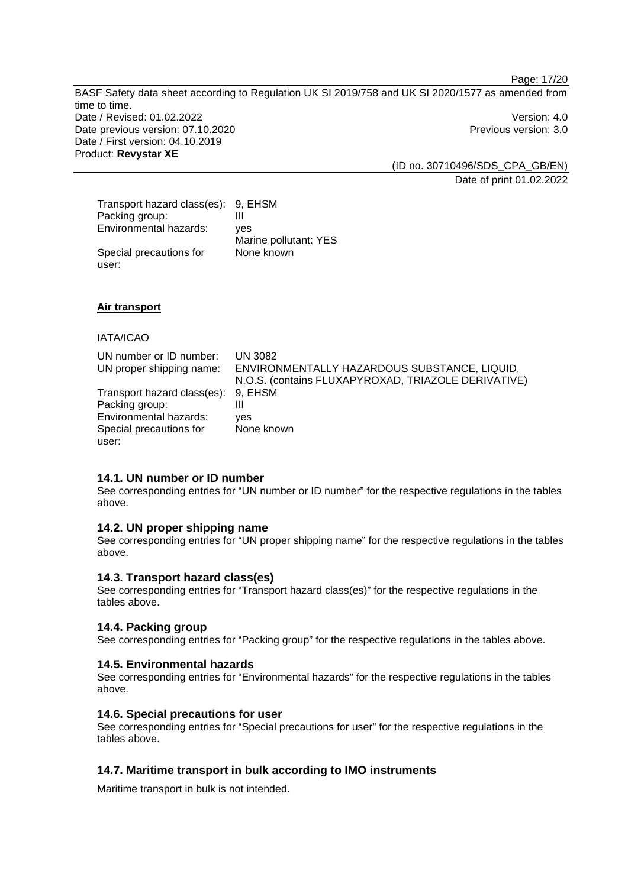Page: 17/20

BASF Safety data sheet according to Regulation UK SI 2019/758 and UK SI 2020/1577 as amended from time to time. Date / Revised: 01.02.2022 Version: 4.0 Date previous version: 07.10.2020 **Previous version: 3.0** Previous version: 3.0 Date / First version: 04.10.2019 Product: **Revystar XE** 

(ID no. 30710496/SDS\_CPA\_GB/EN) Date of print 01.02.2022

| Transport hazard class(es): 9, EHSM |                       |
|-------------------------------------|-----------------------|
| Packing group:                      | Ш                     |
| Environmental hazards:              | ves                   |
|                                     | Marine pollutant: YES |
| Special precautions for             | None known            |
| user:                               |                       |

**Air transport** 

### IATA/ICAO

| UN number or ID number:             | UN 3082                                             |
|-------------------------------------|-----------------------------------------------------|
| UN proper shipping name:            | ENVIRONMENTALLY HAZARDOUS SUBSTANCE, LIQUID,        |
|                                     | N.O.S. (contains FLUXAPYROXAD, TRIAZOLE DERIVATIVE) |
| Transport hazard class(es): 9, EHSM |                                                     |
| Packing group:                      | Ш                                                   |
| Environmental hazards:              | <b>ves</b>                                          |
| Special precautions for             | None known                                          |
| user:                               |                                                     |

# **14.1. UN number or ID number**

See corresponding entries for "UN number or ID number" for the respective regulations in the tables above.

### **14.2. UN proper shipping name**

See corresponding entries for "UN proper shipping name" for the respective regulations in the tables above.

# **14.3. Transport hazard class(es)**

See corresponding entries for "Transport hazard class(es)" for the respective regulations in the tables above.

### **14.4. Packing group**

See corresponding entries for "Packing group" for the respective regulations in the tables above.

### **14.5. Environmental hazards**

See corresponding entries for "Environmental hazards" for the respective regulations in the tables above.

### **14.6. Special precautions for user**

See corresponding entries for "Special precautions for user" for the respective regulations in the tables above.

### **14.7. Maritime transport in bulk according to IMO instruments**

Maritime transport in bulk is not intended.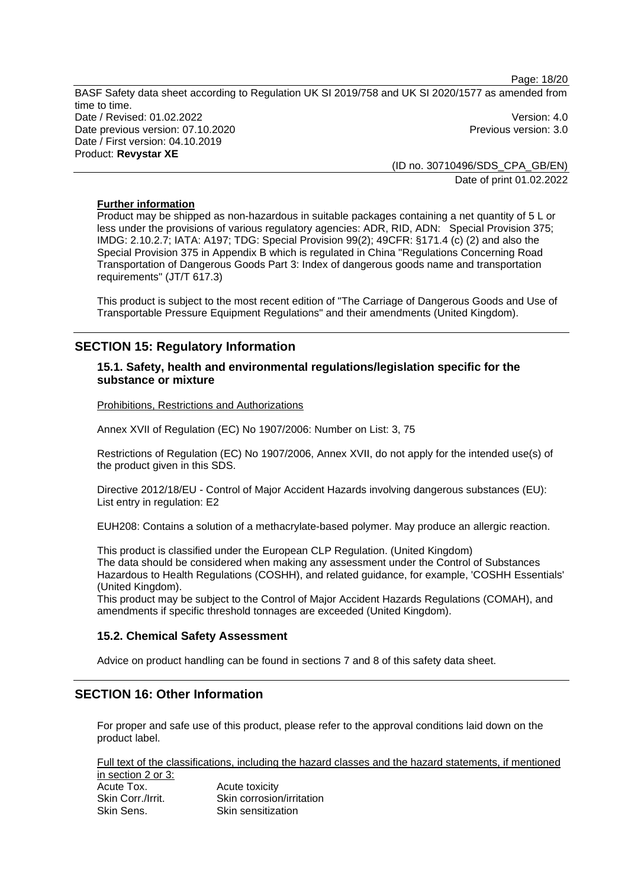Page: 18/20 BASF Safety data sheet according to Regulation UK SI 2019/758 and UK SI 2020/1577 as amended from time to time. Date / Revised: 01.02.2022 Version: 4.0 Date previous version: 07.10.2020 **Previous version: 3.0** Previous version: 3.0 Date / First version: 04.10.2019 Product: **Revystar XE** 

> (ID no. 30710496/SDS\_CPA\_GB/EN) Date of print 01.02.2022

## **Further information**

Product may be shipped as non-hazardous in suitable packages containing a net quantity of 5 L or less under the provisions of various regulatory agencies: ADR, RID, ADN: Special Provision 375; IMDG: 2.10.2.7; IATA: A197; TDG: Special Provision 99(2); 49CFR: §171.4 (c) (2) and also the Special Provision 375 in Appendix B which is regulated in China "Regulations Concerning Road Transportation of Dangerous Goods Part 3: Index of dangerous goods name and transportation requirements" (JT/T 617.3)

This product is subject to the most recent edition of "The Carriage of Dangerous Goods and Use of Transportable Pressure Equipment Regulations" and their amendments (United Kingdom).

# **SECTION 15: Regulatory Information**

### **15.1. Safety, health and environmental regulations/legislation specific for the substance or mixture**

Prohibitions, Restrictions and Authorizations

Annex XVII of Regulation (EC) No 1907/2006: Number on List: 3, 75

Restrictions of Regulation (EC) No 1907/2006, Annex XVII, do not apply for the intended use(s) of the product given in this SDS.

Directive 2012/18/EU - Control of Major Accident Hazards involving dangerous substances (EU): List entry in regulation: E2

EUH208: Contains a solution of a methacrylate-based polymer. May produce an allergic reaction.

This product is classified under the European CLP Regulation. (United Kingdom) The data should be considered when making any assessment under the Control of Substances Hazardous to Health Regulations (COSHH), and related guidance, for example, 'COSHH Essentials' (United Kingdom).

This product may be subject to the Control of Major Accident Hazards Regulations (COMAH), and amendments if specific threshold tonnages are exceeded (United Kingdom).

### **15.2. Chemical Safety Assessment**

Advice on product handling can be found in sections 7 and 8 of this safety data sheet.

# **SECTION 16: Other Information**

For proper and safe use of this product, please refer to the approval conditions laid down on the product label.

Full text of the classifications, including the hazard classes and the hazard statements, if mentioned in section 2 or 3: Acute Tox. Acute toxicity

Skin Corr./Irrit. Skin corrosion/irritation Skin Sens. Skin sensitization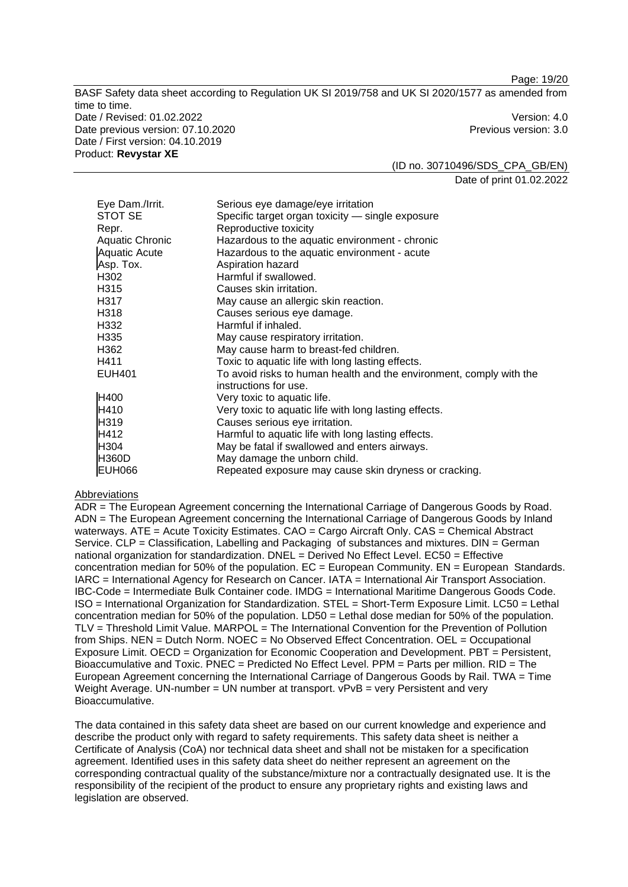Page: 19/20

BASF Safety data sheet according to Regulation UK SI 2019/758 and UK SI 2020/1577 as amended from time to time. Date / Revised: 01.02.2022 Version: 4.0 Date previous version: 07.10.2020 **Previous version: 3.0** Previous version: 3.0 Date / First version: 04.10.2019 Product: **Revystar XE** 

(ID no. 30710496/SDS\_CPA\_GB/EN) Date of print 01.02.2022

| Eye Dam./Irrit.        | Serious eye damage/eye irritation                                   |
|------------------------|---------------------------------------------------------------------|
| STOT SE                | Specific target organ toxicity — single exposure                    |
| Repr.                  | Reproductive toxicity                                               |
| <b>Aquatic Chronic</b> | Hazardous to the aquatic environment - chronic                      |
| <b>Aquatic Acute</b>   | Hazardous to the aquatic environment - acute                        |
| Asp. Tox.              | Aspiration hazard                                                   |
| H302                   | Harmful if swallowed.                                               |
| H315                   | Causes skin irritation.                                             |
| H317                   | May cause an allergic skin reaction.                                |
| H318                   | Causes serious eye damage.                                          |
| H332                   | Harmful if inhaled.                                                 |
| H <sub>335</sub>       | May cause respiratory irritation.                                   |
| H362                   | May cause harm to breast-fed children.                              |
| H411                   | Toxic to aquatic life with long lasting effects.                    |
| <b>EUH401</b>          | To avoid risks to human health and the environment, comply with the |
|                        | instructions for use.                                               |
| H400                   | Very toxic to aquatic life.                                         |
| H410                   | Very toxic to aquatic life with long lasting effects.               |
| H319                   | Causes serious eye irritation.                                      |
| H412                   | Harmful to aquatic life with long lasting effects.                  |
| H304                   | May be fatal if swallowed and enters airways.                       |
| <b>H360D</b>           | May damage the unborn child.                                        |
| <b>EUH066</b>          | Repeated exposure may cause skin dryness or cracking.               |

### Abbreviations

ADR = The European Agreement concerning the International Carriage of Dangerous Goods by Road. ADN = The European Agreement concerning the International Carriage of Dangerous Goods by Inland waterways. ATE = Acute Toxicity Estimates. CAO = Cargo Aircraft Only. CAS = Chemical Abstract Service. CLP = Classification, Labelling and Packaging of substances and mixtures. DIN = German national organization for standardization. DNEL = Derived No Effect Level. EC50 = Effective concentration median for 50% of the population.  $EC = European Community$ .  $EN = European Standards$ . IARC = International Agency for Research on Cancer. IATA = International Air Transport Association. IBC-Code = Intermediate Bulk Container code. IMDG = International Maritime Dangerous Goods Code. ISO = International Organization for Standardization. STEL = Short-Term Exposure Limit. LC50 = Lethal concentration median for 50% of the population. LD50 = Lethal dose median for 50% of the population. TLV = Threshold Limit Value. MARPOL = The International Convention for the Prevention of Pollution from Ships. NEN = Dutch Norm. NOEC = No Observed Effect Concentration. OEL = Occupational Exposure Limit. OECD = Organization for Economic Cooperation and Development. PBT = Persistent, Bioaccumulative and Toxic. PNEC = Predicted No Effect Level. PPM = Parts per million. RID = The European Agreement concerning the International Carriage of Dangerous Goods by Rail. TWA = Time Weight Average. UN-number = UN number at transport.  $vPvB$  = very Persistent and very Bioaccumulative.

The data contained in this safety data sheet are based on our current knowledge and experience and describe the product only with regard to safety requirements. This safety data sheet is neither a Certificate of Analysis (CoA) nor technical data sheet and shall not be mistaken for a specification agreement. Identified uses in this safety data sheet do neither represent an agreement on the corresponding contractual quality of the substance/mixture nor a contractually designated use. It is the responsibility of the recipient of the product to ensure any proprietary rights and existing laws and legislation are observed.